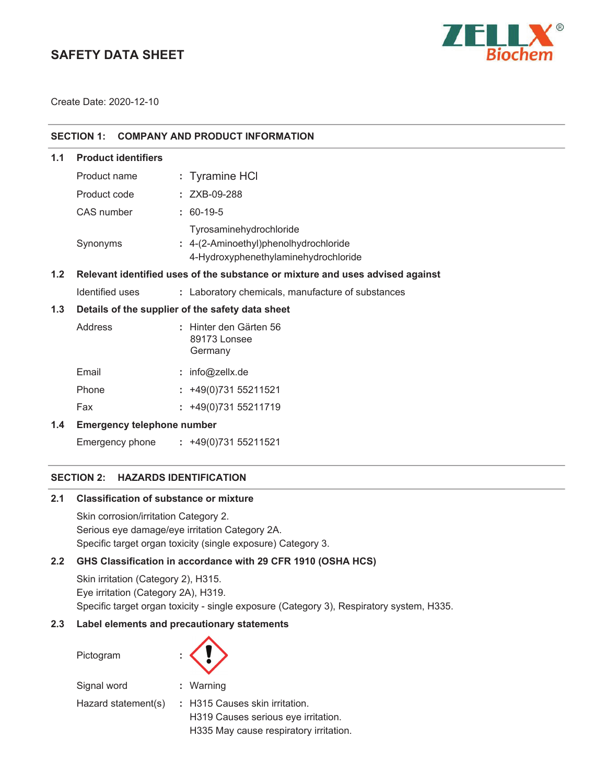# **SAFETY DATA SHEET**



Create Date: 2020-12-10

| <b>SECTION 1:</b><br><b>COMPANY AND PRODUCT INFORMATION</b> |                                                                               |                                                                                                          |  |
|-------------------------------------------------------------|-------------------------------------------------------------------------------|----------------------------------------------------------------------------------------------------------|--|
| 1.1                                                         | <b>Product identifiers</b>                                                    |                                                                                                          |  |
|                                                             | Product name                                                                  | : Tyramine HCI                                                                                           |  |
|                                                             | Product code                                                                  | : ZXB-09-288                                                                                             |  |
|                                                             | CAS number                                                                    | $: 60-19-5$                                                                                              |  |
|                                                             | Synonyms                                                                      | Tyrosaminehydrochloride<br>: 4-(2-Aminoethyl)phenolhydrochloride<br>4-Hydroxyphenethylaminehydrochloride |  |
| 1.2                                                         | Relevant identified uses of the substance or mixture and uses advised against |                                                                                                          |  |
|                                                             | Identified uses                                                               | : Laboratory chemicals, manufacture of substances                                                        |  |
| 1.3                                                         | Details of the supplier of the safety data sheet                              |                                                                                                          |  |
|                                                             | Address                                                                       | : Hinter den Gärten 56<br>89173 Lonsee<br>Germany                                                        |  |
|                                                             | Email                                                                         | : info@zellx.de                                                                                          |  |
|                                                             | Phone                                                                         | $: +49(0)73155211521$                                                                                    |  |
|                                                             | Fax                                                                           | $: +49(0)73155211719$                                                                                    |  |
| 1.4                                                         | <b>Emergency telephone number</b>                                             |                                                                                                          |  |
|                                                             |                                                                               | Emergency phone : +49(0)731 55211521                                                                     |  |

## **SECTION 2: HAZARDS IDENTIFICATION**

#### **2.1 Classification of substance or mixture**

Skin corrosion/irritation Category 2. Serious eye damage/eye irritation Category 2A. Specific target organ toxicity (single exposure) Category 3.

## **2.2 GHS Classification in accordance with 29 CFR 1910 (OSHA HCS)**

Skin irritation (Category 2), H315. Eye irritation (Category 2A), H319. Specific target organ toxicity - single exposure (Category 3), Respiratory system, H335.

## **2.3 Label elements and precautionary statements**

| Pictogram           |                                        |
|---------------------|----------------------------------------|
| Signal word         | : Warning                              |
| Hazard statement(s) | : H315 Causes skin irritation.         |
|                     | H319 Causes serious eye irritation.    |
|                     | H335 May cause respiratory irritation. |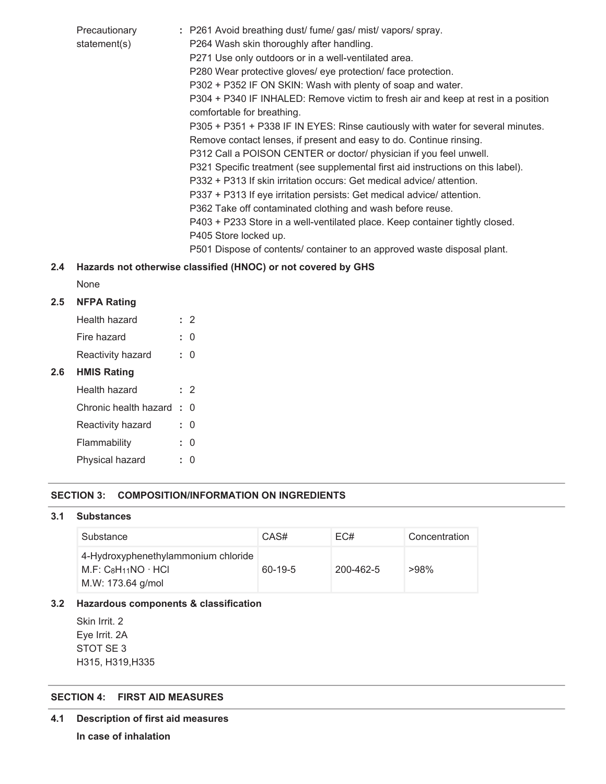| Precautionary<br>statement(s) | : P261 Avoid breathing dust/ fume/ gas/ mist/ vapors/ spray.<br>P264 Wash skin thoroughly after handling.<br>P271 Use only outdoors or in a well-ventilated area.<br>P280 Wear protective gloves/ eye protection/ face protection. |
|-------------------------------|------------------------------------------------------------------------------------------------------------------------------------------------------------------------------------------------------------------------------------|
|                               | P302 + P352 IF ON SKIN: Wash with plenty of soap and water.                                                                                                                                                                        |
|                               | P304 + P340 IF INHALED: Remove victim to fresh air and keep at rest in a position<br>comfortable for breathing.                                                                                                                    |
|                               | P305 + P351 + P338 IF IN EYES: Rinse cautiously with water for several minutes.                                                                                                                                                    |
|                               | Remove contact lenses, if present and easy to do. Continue rinsing.                                                                                                                                                                |
|                               | P312 Call a POISON CENTER or doctor/ physician if you feel unwell.                                                                                                                                                                 |
|                               | P321 Specific treatment (see supplemental first aid instructions on this label).                                                                                                                                                   |
|                               | P332 + P313 If skin irritation occurs: Get medical advice/ attention.                                                                                                                                                              |
|                               | P337 + P313 If eye irritation persists: Get medical advice/ attention.                                                                                                                                                             |
|                               | P362 Take off contaminated clothing and wash before reuse.                                                                                                                                                                         |
|                               | P403 + P233 Store in a well-ventilated place. Keep container tightly closed.                                                                                                                                                       |
|                               | P405 Store locked up.                                                                                                                                                                                                              |
|                               | P501 Dispose of contents/ container to an approved waste disposal plant.                                                                                                                                                           |

## **2.4 Hazards not otherwise classified (HNOC) or not covered by GHS**

None

**2.6** 

## **2.5 NFPA Rating**

| Health hazard         |    | : 2 |
|-----------------------|----|-----|
| Fire hazard           | t. | N   |
| Reactivity hazard     | t. | U   |
| <b>HMIS Rating</b>    |    |     |
| Health hazard         |    | : 2 |
| Chronic health hazard | ۰. | U   |
| Reactivity hazard     | ŧ. | U   |
| Flammability          | t. | N   |
| Physical hazard       |    | O   |

## **SECTION 3: COMPOSITION/INFORMATION ON INGREDIENTS**

#### **3.1 Substances**

| Substance                                                                         | CAS#      | EC#       | Concentration |
|-----------------------------------------------------------------------------------|-----------|-----------|---------------|
| 4-Hydroxyphenethylammonium chloride<br>$M.F: C_8H11NO · HCl$<br>M.W: 173.64 g/mol | $60-19-5$ | 200-462-5 | $>98\%$       |

## **3.2 Hazardous components & classification**

Skin Irrit. 2 Eye Irrit. 2A STOT SE 3 H315, H319,H335

## **SECTION 4: FIRST AID MEASURES**

**4.1 Description of first aid measures In case of inhalation**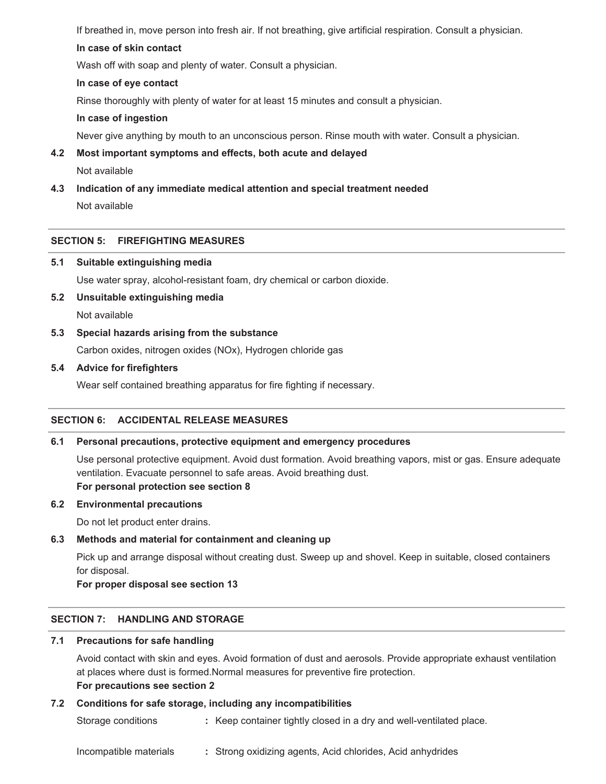If breathed in, move person into fresh air. If not breathing, give artificial respiration. Consult a physician.

## **In case of skin contact**

Wash off with soap and plenty of water. Consult a physician.

#### **In case of eye contact**

Rinse thoroughly with plenty of water for at least 15 minutes and consult a physician.

### **In case of ingestion**

Never give anything by mouth to an unconscious person. Rinse mouth with water. Consult a physician.

## **4.2 Most important symptoms and effects, both acute and delayed**

Not available

## **4.3 Indication of any immediate medical attention and special treatment needed**

Not available

## **SECTION 5: FIREFIGHTING MEASURES**

#### **5.1 Suitable extinguishing media**

Use water spray, alcohol-resistant foam, dry chemical or carbon dioxide.

#### **5.2 Unsuitable extinguishing media**

Not available

## **5.3 Special hazards arising from the substance**

Carbon oxides, nitrogen oxides (NOx), Hydrogen chloride gas

#### **5.4 Advice for firefighters**

Wear self contained breathing apparatus for fire fighting if necessary.

## **SECTION 6: ACCIDENTAL RELEASE MEASURES**

## **6.1 Personal precautions, protective equipment and emergency procedures**

Use personal protective equipment. Avoid dust formation. Avoid breathing vapors, mist or gas. Ensure adequate ventilation. Evacuate personnel to safe areas. Avoid breathing dust. **For personal protection see section 8**

#### **6.2 Environmental precautions**

Do not let product enter drains.

## **6.3 Methods and material for containment and cleaning up**

Pick up and arrange disposal without creating dust. Sweep up and shovel. Keep in suitable, closed containers for disposal.

**For proper disposal see section 13**

## **SECTION 7: HANDLING AND STORAGE**

#### **7.1 Precautions for safe handling**

Avoid contact with skin and eyes. Avoid formation of dust and aerosols. Provide appropriate exhaust ventilation at places where dust is formed.Normal measures for preventive fire protection. **For precautions see section 2**

#### **7.2 Conditions for safe storage, including any incompatibilities**

Storage conditions **:** Keep container tightly closed in a dry and well-ventilated place.

Incompatible materials **:** Strong oxidizing agents, Acid chlorides, Acid anhydrides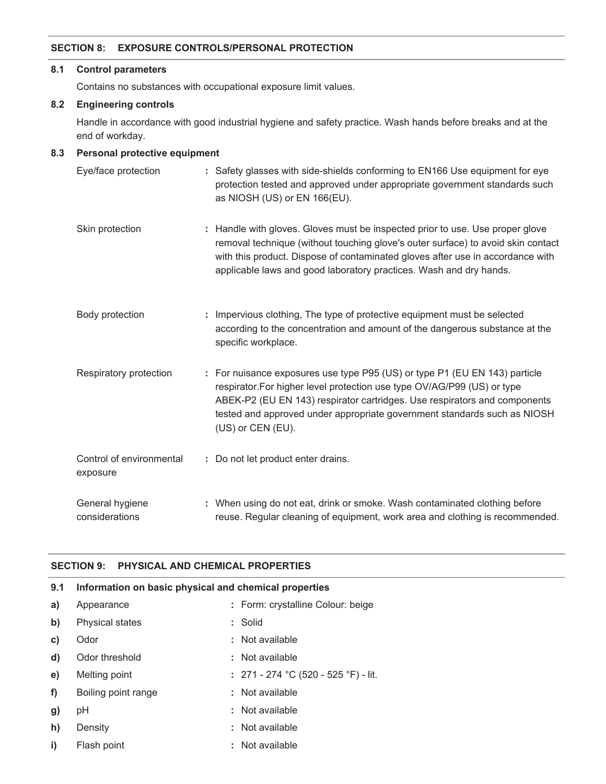#### **SECTION 8: EXPOSURE CONTROLS/PERSONAL PROTECTION**

#### **8.1 Control parameters**

Contains no substances with occupational exposure limit values.

## **8.2 Engineering controls**

Handle in accordance with good industrial hygiene and safety practice. Wash hands before breaks and at the end of workday.

## **8.3 Personal protective equipment**

| Eye/face protection                  | : Safety glasses with side-shields conforming to EN166 Use equipment for eye<br>protection tested and approved under appropriate government standards such<br>as NIOSH (US) or EN 166(EU).                                                                                                                                          |
|--------------------------------------|-------------------------------------------------------------------------------------------------------------------------------------------------------------------------------------------------------------------------------------------------------------------------------------------------------------------------------------|
| Skin protection                      | : Handle with gloves. Gloves must be inspected prior to use. Use proper glove<br>removal technique (without touching glove's outer surface) to avoid skin contact<br>with this product. Dispose of contaminated gloves after use in accordance with<br>applicable laws and good laboratory practices. Wash and dry hands.           |
| Body protection                      | : Impervious clothing, The type of protective equipment must be selected<br>according to the concentration and amount of the dangerous substance at the<br>specific workplace.                                                                                                                                                      |
| Respiratory protection               | : For nuisance exposures use type P95 (US) or type P1 (EU EN 143) particle<br>respirator. For higher level protection use type OV/AG/P99 (US) or type<br>ABEK-P2 (EU EN 143) respirator cartridges. Use respirators and components<br>tested and approved under appropriate government standards such as NIOSH<br>(US) or CEN (EU). |
| Control of environmental<br>exposure | : Do not let product enter drains.                                                                                                                                                                                                                                                                                                  |
| General hygiene<br>considerations    | : When using do not eat, drink or smoke. Wash contaminated clothing before<br>reuse. Regular cleaning of equipment, work area and clothing is recommended.                                                                                                                                                                          |

## **SECTION 9: PHYSICAL AND CHEMICAL PROPERTIES**

| 9.1 | Information on basic physical and chemical properties |                                        |  |
|-----|-------------------------------------------------------|----------------------------------------|--|
| a)  | Appearance                                            | : Form: crystalline Colour: beige      |  |
| b)  | <b>Physical states</b>                                | : Solid                                |  |
| C)  | Odor                                                  | : Not available                        |  |
| d)  | Odor threshold                                        | : Not available                        |  |
| e)  | Melting point                                         | : $271 - 274$ °C (520 - 525 °F) - lit. |  |
| f)  | Boiling point range                                   | : Not available                        |  |
| g)  | рH                                                    | : Not available                        |  |
| h)  | Density                                               | : Not available                        |  |
| i)  | Flash point                                           | : Not available                        |  |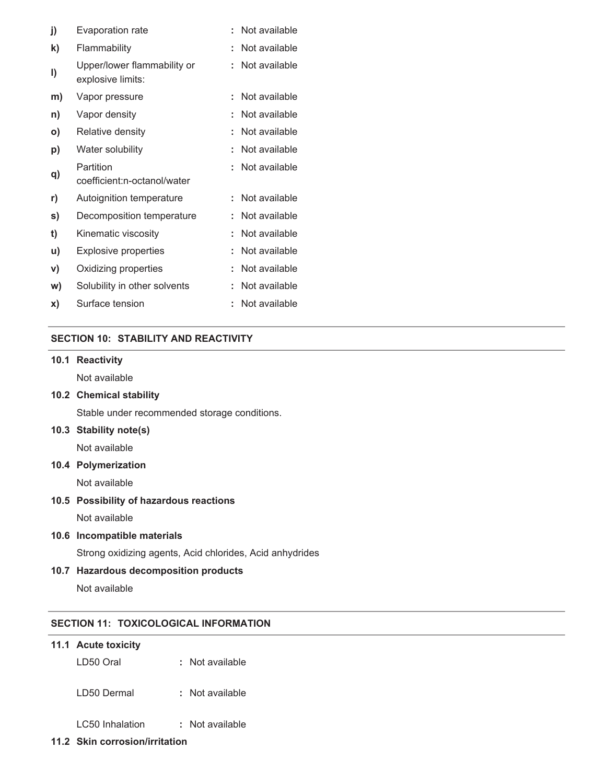| j) | Evaporation rate                                 | t | Not available |
|----|--------------------------------------------------|---|---------------|
| k) | Flammability                                     | t | Not available |
| I) | Upper/lower flammability or<br>explosive limits: | t | Not available |
| m) | Vapor pressure                                   |   | Not available |
| n) | Vapor density                                    | t | Not available |
| O) | Relative density                                 | t | Not available |
| p) | Water solubility                                 | ٠ | Not available |
| q) | Partition<br>coefficient:n-octanol/water         | t | Not available |
| r) | Autoignition temperature                         | ÷ | Not available |
| s) | Decomposition temperature                        | t | Not available |
| t) | Kinematic viscosity                              |   | Not available |
| u) | Explosive properties                             |   | Not available |
| V) | Oxidizing properties                             | t | Not available |
| W) | Solubility in other solvents                     | t | Not available |
| X) | Surface tension                                  |   | Not available |

## **SECTION 10: STABILITY AND REACTIVITY**

### **10.1 Reactivity**

Not available

#### **10.2 Chemical stability**

Stable under recommended storage conditions.

### **10.3 Stability note(s)**

Not available

#### **10.4 Polymerization**

Not available

## **10.5 Possibility of hazardous reactions**

Not available

#### **10.6 Incompatible materials**

Strong oxidizing agents, Acid chlorides, Acid anhydrides

#### **10.7 Hazardous decomposition products**

Not available

## **SECTION 11: TOXICOLOGICAL INFORMATION**

#### **11.1 Acute toxicity**

LD50 Oral **:** Not available

LD50 Dermal **:** Not available

LC50 Inhalation **:** Not available

## **11.2 Skin corrosion/irritation**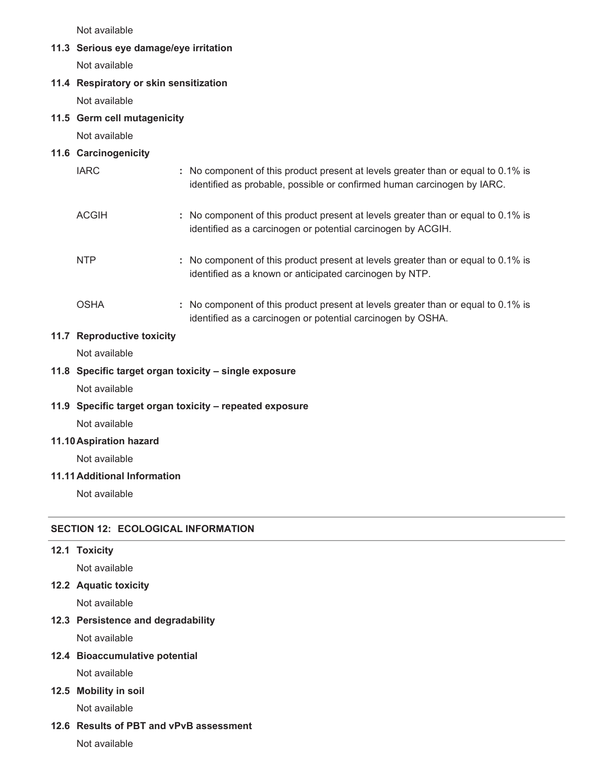Not available

#### **11.3 Serious eye damage/eye irritation**

Not available

#### **11.4 Respiratory or skin sensitization**

Not available

#### **11.5 Germ cell mutagenicity**

Not available

#### **11.6 Carcinogenicity**

| <b>IARC</b>  | : No component of this product present at levels greater than or equal to 0.1% is<br>identified as probable, possible or confirmed human carcinogen by IARC. |
|--------------|--------------------------------------------------------------------------------------------------------------------------------------------------------------|
| <b>ACGIH</b> | : No component of this product present at levels greater than or equal to 0.1% is<br>identified as a carcinogen or potential carcinogen by ACGIH.            |
| <b>NTP</b>   | : No component of this product present at levels greater than or equal to 0.1% is<br>identified as a known or anticipated carcinogen by NTP.                 |
| <b>OSHA</b>  | : No component of this product present at levels greater than or equal to 0.1% is                                                                            |

identified as a carcinogen or potential carcinogen by OSHA.

#### **11.7 Reproductive toxicity**

Not available

#### **11.8 Specific target organ toxicity – single exposure**

Not available

### **11.9 Specific target organ toxicity – repeated exposure**

Not available

#### **11.10Aspiration hazard**

Not available

## **11.11Additional Information**

Not available

### **SECTION 12: ECOLOGICAL INFORMATION**

## **12.1 Toxicity**

Not available

#### **12.2 Aquatic toxicity**

Not available

## **12.3 Persistence and degradability**

Not available

## **12.4 Bioaccumulative potential**

Not available

## **12.5 Mobility in soil**

Not available

## **12.6 Results of PBT and vPvB assessment**

Not available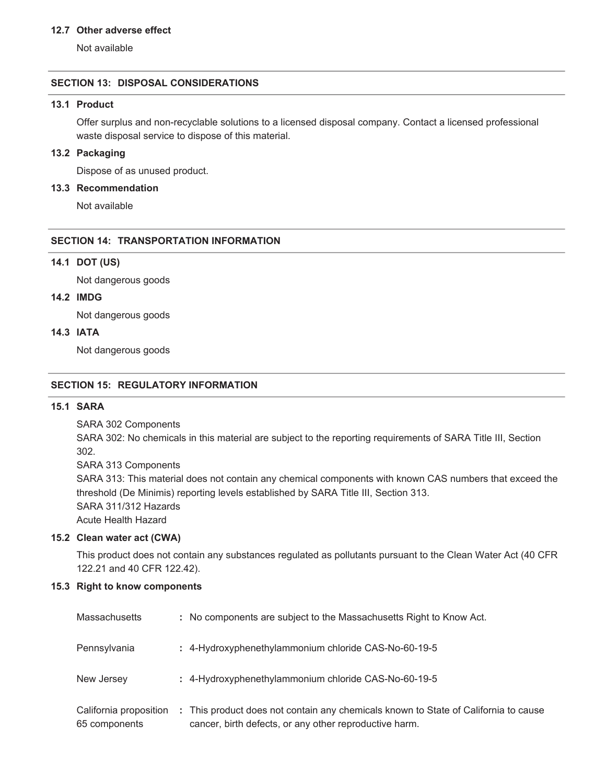#### **12.7 Other adverse effect**

Not available

#### **SECTION 13: DISPOSAL CONSIDERATIONS**

#### **13.1 Product**

Offer surplus and non-recyclable solutions to a licensed disposal company. Contact a licensed professional waste disposal service to dispose of this material.

#### **13.2 Packaging**

Dispose of as unused product.

#### **13.3 Recommendation**

Not available

## **SECTION 14: TRANSPORTATION INFORMATION**

### **14.1 DOT (US)**

Not dangerous goods

## **14.2 IMDG**

Not dangerous goods

## **14.3 IATA**

Not dangerous goods

#### **SECTION 15: REGULATORY INFORMATION**

### **15.1 SARA**

SARA 302 Components

SARA 302: No chemicals in this material are subject to the reporting requirements of SARA Title III, Section 302.

SARA 313 Components

SARA 313: This material does not contain any chemical components with known CAS numbers that exceed the threshold (De Minimis) reporting levels established by SARA Title III, Section 313. SARA 311/312 Hazards

Acute Health Hazard

#### **15.2 Clean water act (CWA)**

This product does not contain any substances regulated as pollutants pursuant to the Clean Water Act (40 CFR 122.21 and 40 CFR 122.42).

#### **15.3 Right to know components**

| <b>Massachusetts</b>                    | : No components are subject to the Massachusetts Right to Know Act.                                                                           |
|-----------------------------------------|-----------------------------------------------------------------------------------------------------------------------------------------------|
| Pennsylvania                            | : 4-Hydroxyphenethylammonium chloride CAS-No-60-19-5                                                                                          |
| New Jersey                              | : 4-Hydroxyphenethylammonium chloride CAS-No-60-19-5                                                                                          |
| California proposition<br>65 components | : This product does not contain any chemicals known to State of California to cause<br>cancer, birth defects, or any other reproductive harm. |